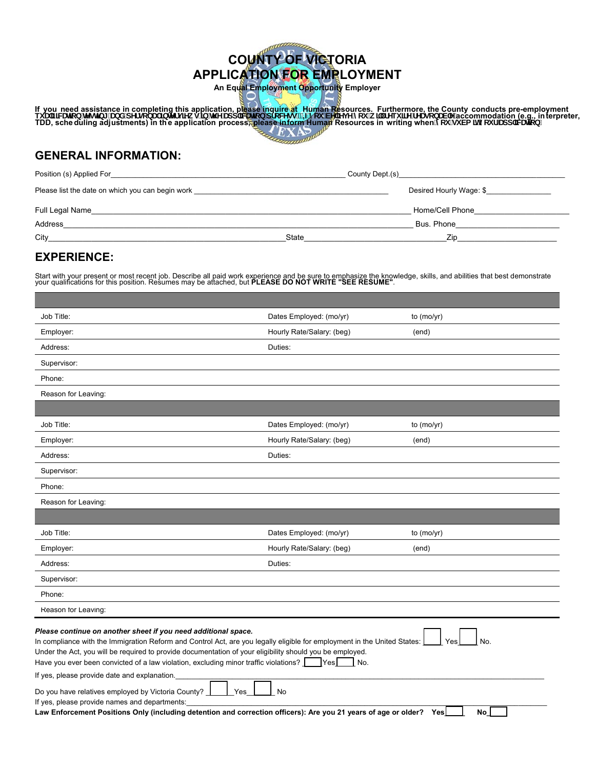# **COUNTY OF VICTORIA APPLICATION FOR EMPLOYMENT**

**An Equal Employment Opportunity Employer** 

If you need assistance in completing this application, please inquire at Human Resources. Furthermore, the County conducts pre-employment<br>ei U) Wilco Mghb[ UbX dYfgcbU ]bhffj]Yk g Jb h Y Udd Wilco drcWgg" = zmci VY Mj Y m

## **GENERAL INFORMATION:**

| Position (s) Applied For                         | County Dept.(s) County Dept.        |
|--------------------------------------------------|-------------------------------------|
| Please list the date on which you can begin work | Desired Hourly Wage: \$             |
| Full Legal Name                                  | Home/Cell Phone                     |
| Address                                          | Bus. Phone_________________________ |
| City                                             | State<br>Zip                        |

## **EXPERIENCE:**

Start with your present or most recent job. Describe all paid work experience and be sure to emphasize the knowledge, skills, and abilities that best demonstrate<br>your qualifications for this position. Resumes may be attach

| Job Title:                                                                                                                                                                                                                                                                                                                                                                                                                                                                        | Dates Employed: (mo/yr)   | to $(mo/vr)$ |  |
|-----------------------------------------------------------------------------------------------------------------------------------------------------------------------------------------------------------------------------------------------------------------------------------------------------------------------------------------------------------------------------------------------------------------------------------------------------------------------------------|---------------------------|--------------|--|
| Employer:                                                                                                                                                                                                                                                                                                                                                                                                                                                                         | Hourly Rate/Salary: (beg) | (end)        |  |
| Address:                                                                                                                                                                                                                                                                                                                                                                                                                                                                          | Duties:                   |              |  |
| Supervisor:                                                                                                                                                                                                                                                                                                                                                                                                                                                                       |                           |              |  |
| Phone:                                                                                                                                                                                                                                                                                                                                                                                                                                                                            |                           |              |  |
| Reason for Leaving:                                                                                                                                                                                                                                                                                                                                                                                                                                                               |                           |              |  |
|                                                                                                                                                                                                                                                                                                                                                                                                                                                                                   |                           |              |  |
| Job Title:                                                                                                                                                                                                                                                                                                                                                                                                                                                                        | Dates Employed: (mo/yr)   | to $(mo/yr)$ |  |
| Employer:                                                                                                                                                                                                                                                                                                                                                                                                                                                                         | Hourly Rate/Salary: (beg) | (end)        |  |
| Address:                                                                                                                                                                                                                                                                                                                                                                                                                                                                          | Duties:                   |              |  |
| Supervisor:                                                                                                                                                                                                                                                                                                                                                                                                                                                                       |                           |              |  |
| Phone:                                                                                                                                                                                                                                                                                                                                                                                                                                                                            |                           |              |  |
| Reason for Leaving:                                                                                                                                                                                                                                                                                                                                                                                                                                                               |                           |              |  |
|                                                                                                                                                                                                                                                                                                                                                                                                                                                                                   |                           |              |  |
| Job Title:                                                                                                                                                                                                                                                                                                                                                                                                                                                                        | Dates Employed: (mo/yr)   | to $(mo/yr)$ |  |
| Employer:                                                                                                                                                                                                                                                                                                                                                                                                                                                                         | Hourly Rate/Salary: (beg) | (end)        |  |
| Address:                                                                                                                                                                                                                                                                                                                                                                                                                                                                          | Duties:                   |              |  |
| Supervisor:                                                                                                                                                                                                                                                                                                                                                                                                                                                                       |                           |              |  |
| Phone:                                                                                                                                                                                                                                                                                                                                                                                                                                                                            |                           |              |  |
| Reason for Leaving:                                                                                                                                                                                                                                                                                                                                                                                                                                                               |                           |              |  |
| Please continue on another sheet if you need additional space.<br>In compliance with the Immigration Reform and Control Act, are you legally eligible for employment in the United States:<br>No.<br>Yes<br>Under the Act, you will be required to provide documentation of your eligibility should you be employed.<br>Have you ever been convicted of a law violation, excluding minor traffic violations?<br><b>Yes</b><br>No.<br>If yes, please provide date and explanation. |                           |              |  |
| Do you have relatives employed by Victoria County?<br>Yes<br>No<br>If yes, please provide names and departments:<br>Law Enforcement Positions Only (including detention and correction officers): Are you 21 years of age or older?<br>Yes<br>No                                                                                                                                                                                                                                  |                           |              |  |